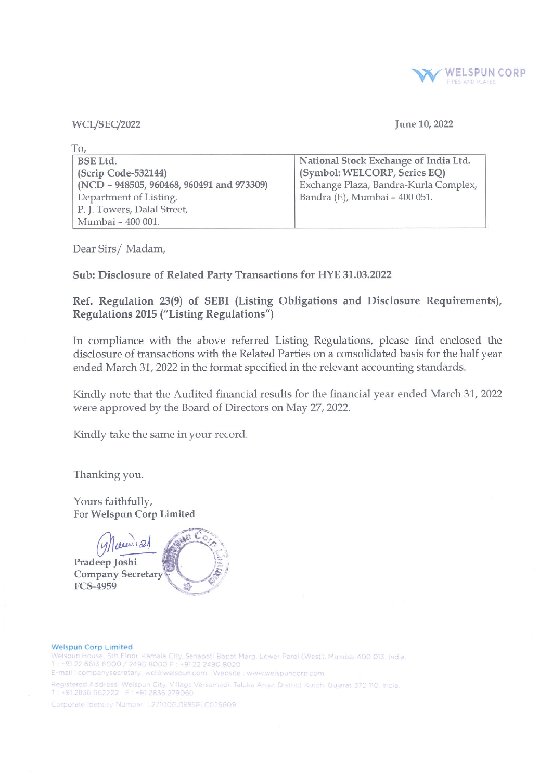

WCL/SEC/2022

# June 10, 2022

| To,                                       |                                       |
|-------------------------------------------|---------------------------------------|
| <b>BSE Ltd.</b>                           | National Stock Exchange of India Ltd. |
| (Scrip Code-532144)                       | (Symbol: WELCORP, Series EQ)          |
| (NCD - 948505, 960468, 960491 and 973309) | Exchange Plaza, Bandra-Kurla Complex, |
| Department of Listing,                    | Bandra (E), Mumbai - 400 051.         |
| P. J. Towers, Dalal Street,               |                                       |
| Mumbai - 400 001.                         |                                       |

Dear Sirs/ Madam,

Sub: Disclosure of Related Party Transactions for HYE 31.03.2022

Ref. Regulation 23(9) of SEBI (Listing Obligations and Disclosure Requirements), Regulations 2015 ("Listing Regulations")

In compliance with the above referred Listing Regulations, please find enclosed the disclosure of transactions with the Related Parties on a consolidated basis for the half year ended March 31, 2022 in the format specified in the relevant accounting standards.

Kindly note that the Audited financial results for the financial year ended March 31, 2022 were approved by the Board of Directors on May 27, 2022.

Kindly take the same in your record.

Thanking you.

Yours faithfully, For Welspun Corp Limited

 $\mathcal{L}$ en 121 Pradeep Joshi Company Secretary FCS-4959

#### Weispun corp Limited

Welspun House. 5th Floor. Kamala City. Senapati Bapat Marg. Lower Parel (West). Mumbai 400 013. India. • <sup>91</sup> <sup>22</sup> <sup>6613</sup> <sup>6000</sup> / <sup>2490</sup> <sup>8000</sup> ~ <sup>22</sup> <sup>2490</sup> <sup>8020</sup>

E-mail : companysecretary\_wcl@welspun.com - Website : www.weispuncorp.com

Registered Address: Welspun City, Village Versamed. Taluka Anjar, District Kutch, Gujarat 370 110, India T: +91 2836 662222 F: +91 2836 279060

Corporate Identity Number, L27100GJ1995PLC025609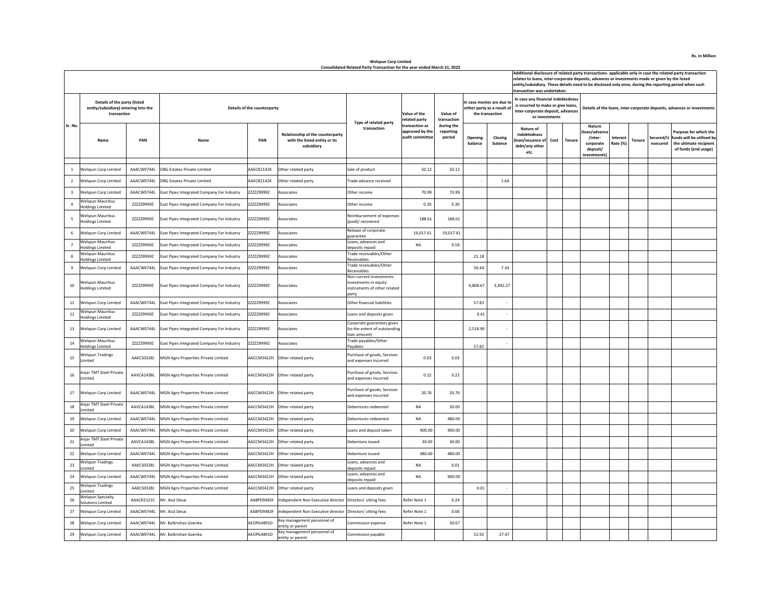|                          |                                                                                     |            |                                            |                             |                                                                                 |                                                                                         |                                                      |                                   |                    |                                                                          |                                                                                                                                 |      |               | Additional disclosure of related party transactions- applicable only in case the related party transaction<br>relates to loans, inter-corporate deposits, advances or investments made or given by the listed<br>entity/subsidiary. These details need to be disclosed only once, during the reporting period when such<br>transaction was undertaken. |                      |        |          |                                                                                                                |  |  |  |  |
|--------------------------|-------------------------------------------------------------------------------------|------------|--------------------------------------------|-----------------------------|---------------------------------------------------------------------------------|-----------------------------------------------------------------------------------------|------------------------------------------------------|-----------------------------------|--------------------|--------------------------------------------------------------------------|---------------------------------------------------------------------------------------------------------------------------------|------|---------------|--------------------------------------------------------------------------------------------------------------------------------------------------------------------------------------------------------------------------------------------------------------------------------------------------------------------------------------------------------|----------------------|--------|----------|----------------------------------------------------------------------------------------------------------------|--|--|--|--|
|                          | Details of the party (listed<br>entity/subsidiary) entering into the<br>transaction |            |                                            | Details of the counterparty |                                                                                 |                                                                                         | Value of the<br>elated party                         | Value of<br>transaction           |                    | case monies are due to<br>either party as a result of<br>the transaction | In case any financial indebtedness<br>is incurred to make or give loans,<br>inter-corporate deposit, advances<br>or investments |      |               | Details of the loans, inter-corporate deposits, advances or investments                                                                                                                                                                                                                                                                                |                      |        |          |                                                                                                                |  |  |  |  |
| Sr. No                   | Name                                                                                | PAN        | Name                                       | PAN                         | Relationship of the counterparty<br>with the listed entity or its<br>subsidiary | Type of related party<br>transaction                                                    | transaction as<br>approved by the<br>audit committee | during the<br>reporting<br>period | Opening<br>balance | Closing<br>balance                                                       | Nature of<br>indebtedness<br>loan/issuance of<br>debt/any other<br>etc.                                                         | Cost | <b>Tenure</b> | Nature<br>loan/advanc<br>/inter-<br>corporate<br>deposit/<br>investments)                                                                                                                                                                                                                                                                              | Interest<br>Rate (%) | Tenure | nsecured | Purpose for which the<br>Secured/U funds will be utilised by<br>the ultimate recipient<br>of funds (end usage) |  |  |  |  |
| $\mathbf{1}$             | Welspun Corp Limited                                                                | AAACW0744L | <b>DBG Estates Private Limited</b>         | AAECR2142K                  | Other related party                                                             | Sale of product                                                                         | 50.12                                                | 50.12                             |                    |                                                                          |                                                                                                                                 |      |               |                                                                                                                                                                                                                                                                                                                                                        |                      |        |          |                                                                                                                |  |  |  |  |
| $\overline{2}$           | Welspun Corp Limited                                                                | AAACW0744L | <b>DBG Estates Private Limited</b>         | AAECR2142K                  | Other related party                                                             | rade advance received                                                                   |                                                      |                                   |                    | 1.64                                                                     |                                                                                                                                 |      |               |                                                                                                                                                                                                                                                                                                                                                        |                      |        |          |                                                                                                                |  |  |  |  |
| $\overline{\mathbf{3}}$  | Welspun Corp Limited                                                                | AAACW0744L | East Pipes Integrated Company For Industry | ZZZZZ9999Z                  | Associates                                                                      | Other income                                                                            | 70.99                                                | 70.99                             |                    |                                                                          |                                                                                                                                 |      |               |                                                                                                                                                                                                                                                                                                                                                        |                      |        |          |                                                                                                                |  |  |  |  |
| $\overline{a}$           | <b>Welspun Mauritius</b><br>Holdings Limited                                        | ZZZZZ9999Z | East Pipes Integrated Company For Industry | ZZZZZ9999Z                  | astrinozz4                                                                      | Other income                                                                            | 0.30                                                 | 0.30                              |                    |                                                                          |                                                                                                                                 |      |               |                                                                                                                                                                                                                                                                                                                                                        |                      |        |          |                                                                                                                |  |  |  |  |
| $\overline{\phantom{a}}$ | <b>Welspun Mauritius</b><br>Holdings Limited                                        | ZZZZZ9999Z | East Pipes Integrated Company For Industry | ZZZZZ9999Z                  | Associates                                                                      | eimbursement of expenses<br>paid)/ recovered                                            | 188.61                                               | 188.61                            |                    |                                                                          |                                                                                                                                 |      |               |                                                                                                                                                                                                                                                                                                                                                        |                      |        |          |                                                                                                                |  |  |  |  |
| 6                        | Welspun Corp Limited                                                                | AAACW0744L | East Pipes Integrated Company For Industry | ZZZZZ9999Z                  | ssociates                                                                       | Release of corporate<br>uarantee                                                        | 19,017.61                                            | 19,017.61                         |                    |                                                                          |                                                                                                                                 |      |               |                                                                                                                                                                                                                                                                                                                                                        |                      |        |          |                                                                                                                |  |  |  |  |
| $\overline{7}$           | <b>Welspun Mauritius</b><br><b>Holdings Limited</b>                                 | ZZZZZ9999Z | East Pipes Integrated Company For Industry | ZZZZZ9999Z                  | Associates                                                                      | Loans, advances and<br>leposits repaid                                                  | NA                                                   | 9.59                              |                    |                                                                          |                                                                                                                                 |      |               |                                                                                                                                                                                                                                                                                                                                                        |                      |        |          |                                                                                                                |  |  |  |  |
| 8                        | <b>Welspun Mauritius</b><br>Holdings Limited                                        | ZZZZZ9999Z | East Pipes Integrated Company For Industry | ZZZZZ9999Z                  | Associates                                                                      | rade receivables/Other<br>eceivables                                                    |                                                      |                                   | 21.18              |                                                                          |                                                                                                                                 |      |               |                                                                                                                                                                                                                                                                                                                                                        |                      |        |          |                                                                                                                |  |  |  |  |
| 9                        | Welspun Corp Limited                                                                | AAACW0744L | East Pipes Integrated Company For Industry | ZZZZZ9999Z                  | ssociates                                                                       | rade receivables/Other<br>Receivables                                                   |                                                      |                                   | 50.44              | 7.34                                                                     |                                                                                                                                 |      |               |                                                                                                                                                                                                                                                                                                                                                        |                      |        |          |                                                                                                                |  |  |  |  |
| $10\,$                   | <b>Welspun Mauritius</b><br>Holdings Limited                                        | ZZZZZ9999Z | East Pipes Integrated Company For Industry | ZZZZZ9999Z                  | Associates                                                                      | Non-current investments-<br>nvestments in equity<br>nstruments of other related<br>arty |                                                      |                                   | 4,808.67           | 3,492.27                                                                 |                                                                                                                                 |      |               |                                                                                                                                                                                                                                                                                                                                                        |                      |        |          |                                                                                                                |  |  |  |  |
| $11\,$                   | Welspun Corp Limited                                                                | AAACW0744L | East Pipes Integrated Company For Industry | ZZZZ29999Z                  | Associates                                                                      | Other financial liabilities                                                             |                                                      |                                   | 57.83              |                                                                          |                                                                                                                                 |      |               |                                                                                                                                                                                                                                                                                                                                                        |                      |        |          |                                                                                                                |  |  |  |  |
| 12                       | <b>Welspun Mauritius</b><br>Holdings Limited                                        | ZZZZZ9999Z | East Pipes Integrated Company For Industry | ZZZZZ9999Z                  | Associates                                                                      | oans and deposits given                                                                 |                                                      |                                   | 9.41               |                                                                          |                                                                                                                                 |      |               |                                                                                                                                                                                                                                                                                                                                                        |                      |        |          |                                                                                                                |  |  |  |  |
| 13                       | Welspun Corp Limited                                                                | AAACW0744L | East Pipes Integrated Company For Industry | ZZZZZ9999Z                  | Associates                                                                      | orporate guarantees given<br>to the extent of outstanding<br>oan amount)                |                                                      |                                   | 2,518.90           |                                                                          |                                                                                                                                 |      |               |                                                                                                                                                                                                                                                                                                                                                        |                      |        |          |                                                                                                                |  |  |  |  |
| 14                       | <b>Welspun Mauritius</b><br><b>Holdings Limited</b>                                 | ZZZZZ9999Z | East Pipes Integrated Company For Industry | ZZZZZ9999Z                  | Associates                                                                      | rade payables/Other<br>ayables                                                          |                                                      |                                   | 57.82              |                                                                          |                                                                                                                                 |      |               |                                                                                                                                                                                                                                                                                                                                                        |                      |        |          |                                                                                                                |  |  |  |  |
| 15                       | <b>Welspun Tradings</b><br>mited                                                    | AAKCS0328J | MGN Agro Properties Private Limited        | AACCM3422H                  | Other related party                                                             | urchase of goods, Services<br>and expenses incurred                                     | 0.03                                                 | 0.03                              |                    |                                                                          |                                                                                                                                 |      |               |                                                                                                                                                                                                                                                                                                                                                        |                      |        |          |                                                                                                                |  |  |  |  |
| 16                       | Anjar TMT Steel Private<br>Limited                                                  | AAVCA1438L | MGN Agro Properties Private Limited        | AACCM3422H                  | Other related party                                                             | Purchase of goods, Services<br>and expenses incurred                                    | 0.22                                                 | 0.22                              |                    |                                                                          |                                                                                                                                 |      |               |                                                                                                                                                                                                                                                                                                                                                        |                      |        |          |                                                                                                                |  |  |  |  |
| 17                       | Welspun Corp Limited                                                                | AAACW0744L | MGN Agro Properties Private Limited        | AACCM3422H                  | Other related party                                                             | urchase of goods, Services<br>and expenses incurred                                     | 20.76                                                | 20.76                             |                    |                                                                          |                                                                                                                                 |      |               |                                                                                                                                                                                                                                                                                                                                                        |                      |        |          |                                                                                                                |  |  |  |  |
| $18\,$                   | Anjar TMT Steel Private<br>Limited                                                  | AAVCA1438L | <b>MGN Agro Properties Private Limited</b> | AACCM3422H                  | Other related party                                                             | Debentures redeemed                                                                     | <b>NA</b>                                            | 30.00                             |                    |                                                                          |                                                                                                                                 |      |               |                                                                                                                                                                                                                                                                                                                                                        |                      |        |          |                                                                                                                |  |  |  |  |
| 19                       | Welspun Corp Limited                                                                | AAACW0744L | MGN Agro Properties Private Limited        | AACCM3422H                  | Other related party                                                             | Debentures redeemed                                                                     | NA                                                   | 480.00                            |                    |                                                                          |                                                                                                                                 |      |               |                                                                                                                                                                                                                                                                                                                                                        |                      |        |          |                                                                                                                |  |  |  |  |
| 20                       | Welspun Corp Limited                                                                | AAACW0744L | MGN Agro Properties Private Limited        | AACCM3422H                  | Other related party                                                             | oans and deposit taken.                                                                 | 900.00                                               | 900.00                            |                    |                                                                          |                                                                                                                                 |      |               |                                                                                                                                                                                                                                                                                                                                                        |                      |        |          |                                                                                                                |  |  |  |  |
| 21                       | Anjar TMT Steel Private<br>Limited                                                  | AAVCA1438L | MGN Agro Properties Private Limited        | AACCM3422H                  | Other related party                                                             | Debenture issued                                                                        | 30.00                                                | 30.00                             |                    |                                                                          |                                                                                                                                 |      |               |                                                                                                                                                                                                                                                                                                                                                        |                      |        |          |                                                                                                                |  |  |  |  |
| 22                       | Welspun Corp Limited                                                                | AAACW0744L | MGN Agro Properties Private Limited        | AACCM3422H                  | Other related party                                                             | ebenture issued                                                                         | 480.00                                               | 480.00                            |                    |                                                                          |                                                                                                                                 |      |               |                                                                                                                                                                                                                                                                                                                                                        |                      |        |          |                                                                                                                |  |  |  |  |
| 23                       | <b>Welspun Tradings</b><br>imited                                                   | AAKCS0328J | MGN Agro Properties Private Limited        | AACCM3422H                  | Other related party                                                             | pans, advances and<br>deposits repaid                                                   | NA                                                   | 0.01                              |                    |                                                                          |                                                                                                                                 |      |               |                                                                                                                                                                                                                                                                                                                                                        |                      |        |          |                                                                                                                |  |  |  |  |
| 24                       | Welspun Corp Limited                                                                | AAACW0744L | MGN Agro Properties Private Limited        | AACCM3422H                  | Other related party                                                             | oans, advances and<br>deposits repaid                                                   | <b>NA</b>                                            | 900.00                            |                    |                                                                          |                                                                                                                                 |      |               |                                                                                                                                                                                                                                                                                                                                                        |                      |        |          |                                                                                                                |  |  |  |  |
| 25                       | <b>Welspun Tradings</b><br>Limited                                                  | AAKCS0328J | MGN Agro Properties Private Limited        | AACCM3422H                  | Other related party                                                             | Loans and deposits given                                                                |                                                      |                                   | 0.01               |                                                                          |                                                                                                                                 |      |               |                                                                                                                                                                                                                                                                                                                                                        |                      |        |          |                                                                                                                |  |  |  |  |
| $26\,$                   | Welspun Specialty<br>Solutions Limited                                              | AAACR2121C | Mr. Atul Desai                             | AABPD9483F                  | Independent Non Executive director                                              | Directors' sitting fees                                                                 | Refer Note 1                                         | 0.24                              |                    |                                                                          |                                                                                                                                 |      |               |                                                                                                                                                                                                                                                                                                                                                        |                      |        |          |                                                                                                                |  |  |  |  |
| 27                       | Welspun Corp Limited                                                                | AAACW0744L | Mr. Atul Desai                             | AABPD9483F                  | ndependent Non Executive director                                               | Directors' sitting fees                                                                 | Refer Note 1                                         | 0.06                              |                    |                                                                          |                                                                                                                                 |      |               |                                                                                                                                                                                                                                                                                                                                                        |                      |        |          |                                                                                                                |  |  |  |  |
| 28                       | Welspun Corp Limited                                                                | AAACW0744L | Mr. Balkrishan Goenka                      | AFOPG4891D                  | Key management personnel of<br>entity or parent                                 | ommission expense                                                                       | Refer Note 1                                         | 30.67                             |                    |                                                                          |                                                                                                                                 |      |               |                                                                                                                                                                                                                                                                                                                                                        |                      |        |          |                                                                                                                |  |  |  |  |
| 29                       | Welspun Corp Limited                                                                | AAACW0744L | Mr. Balkrishan Goenka                      | AEOPG4891D                  | Key management personnel of<br>entity or parent                                 | ommission pavable                                                                       |                                                      |                                   | 52.92              | 27.47                                                                    |                                                                                                                                 |      |               |                                                                                                                                                                                                                                                                                                                                                        |                      |        |          |                                                                                                                |  |  |  |  |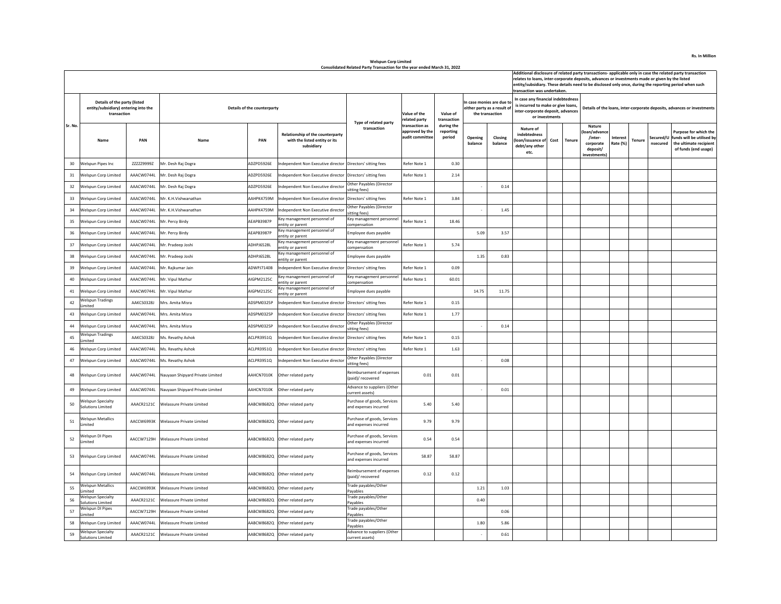| transaction was undertaken. |                                                                                     |            |                                  |                             |                                                                                 |                                                      |                                                 |                                   |                                                                            |                    |                                                                                                                                |      |               | Additional disclosure of related party transactions- applicable only in case the related party transaction<br>relates to loans, inter-corporate deposits, advances or investments made or given by the listed<br>entity/subsidiary. These details need to be disclosed only once, during the reporting period when such |                             |        |                       |                                                                                                             |  |  |  |
|-----------------------------|-------------------------------------------------------------------------------------|------------|----------------------------------|-----------------------------|---------------------------------------------------------------------------------|------------------------------------------------------|-------------------------------------------------|-----------------------------------|----------------------------------------------------------------------------|--------------------|--------------------------------------------------------------------------------------------------------------------------------|------|---------------|-------------------------------------------------------------------------------------------------------------------------------------------------------------------------------------------------------------------------------------------------------------------------------------------------------------------------|-----------------------------|--------|-----------------------|-------------------------------------------------------------------------------------------------------------|--|--|--|
|                             | Details of the party (listed<br>entity/subsidiary) entering into the<br>transaction |            |                                  | Details of the counterparty |                                                                                 | Type of related party<br>transaction                 | Value of the<br>related party<br>transaction as | Value of<br>transaction           | n case monies are due to<br>either party as a result of<br>the transaction |                    | In case any financial indebtedness<br>s incurred to make or give loans,<br>inter-corporate deposit, advances<br>or investments |      |               |                                                                                                                                                                                                                                                                                                                         |                             |        |                       | Details of the loans, inter-corporate deposits, advances or investments                                     |  |  |  |
| Sr. No                      | Name                                                                                | PAN        | Name                             | PAN                         | Relationship of the counterparty<br>with the listed entity or its<br>subsidiary |                                                      | approved by the<br>audit committee              | during the<br>reporting<br>period | Opening<br>balance                                                         | Closing<br>balance | Nature of<br>indebtedness<br>oan/issuance of<br>debt/any other<br>etc.                                                         | Cost | <b>Tenure</b> | Nature<br>loan/advance<br>/inter-<br>corporate<br>deposit/<br>investments)                                                                                                                                                                                                                                              | <b>Interest</b><br>Rate (%) | Tenure | Secured/U<br>nsecured | <b>Purpose for which the</b><br>funds will be utilised by<br>the ultimate recipient<br>of funds (end usage) |  |  |  |
| 30                          | Welspun Pipes Inc                                                                   | ZZZZZ9999Z | Mr. Desh Raj Dogra               | ADZPD5926E                  | dependent Non Executive director                                                | Directors' sitting fees                              | Refer Note 1                                    | 0.30                              |                                                                            |                    |                                                                                                                                |      |               |                                                                                                                                                                                                                                                                                                                         |                             |        |                       |                                                                                                             |  |  |  |
| 31                          | Welspun Corp Limited                                                                | AAACW0744L | Mr. Desh Raj Dogra               | ADZPD5926E                  | dependent Non Executive director                                                | Directors' sitting fees                              | Refer Note 1                                    | 2.14                              |                                                                            |                    |                                                                                                                                |      |               |                                                                                                                                                                                                                                                                                                                         |                             |        |                       |                                                                                                             |  |  |  |
| 32                          | <b>Nelspun Corp Limited</b>                                                         | AAACW0744L | Mr. Desh Raj Dogra               | ADZPD5926E                  | dependent Non Executive director                                                | Other Pavables (Director<br>sitting fees)            |                                                 |                                   |                                                                            | 0.14               |                                                                                                                                |      |               |                                                                                                                                                                                                                                                                                                                         |                             |        |                       |                                                                                                             |  |  |  |
| 33                          | Welspun Corp Limited                                                                | AAACW0744I | Mr. K.H.Vishwanathan             | AAHPK4759M                  | ndependent Non Executive director                                               | Directors' sitting fees                              | Refer Note 1                                    | 3.84                              |                                                                            |                    |                                                                                                                                |      |               |                                                                                                                                                                                                                                                                                                                         |                             |        |                       |                                                                                                             |  |  |  |
| 34                          | Welspun Corp Limited                                                                | AAACW0744L | Mr. K.H.Vishwanathan             | AAHPK4759M                  | ndependent Non Executive director                                               | Other Payables (Director<br>sitting fees)            |                                                 |                                   |                                                                            | 1.45               |                                                                                                                                |      |               |                                                                                                                                                                                                                                                                                                                         |                             |        |                       |                                                                                                             |  |  |  |
| 35                          | Welspun Corp Limited                                                                | AAACW0744L | Mr. Percy Birdy                  | AFAPB3987P                  | ey management personnel of<br>ntity or parent                                   | Key management personnel<br>compensation             | Refer Note 1                                    | 18.46                             |                                                                            |                    |                                                                                                                                |      |               |                                                                                                                                                                                                                                                                                                                         |                             |        |                       |                                                                                                             |  |  |  |
| 36                          | Velspun Corp Limited                                                                | AAACW0744L | Mr. Percy Birdy                  | AEAPB3987P                  | ey management personnel of<br>ntity or parent                                   | Employee dues payable                                |                                                 |                                   | 5.09                                                                       | 3.57               |                                                                                                                                |      |               |                                                                                                                                                                                                                                                                                                                         |                             |        |                       |                                                                                                             |  |  |  |
| 37                          | Welspun Corp Limited                                                                | AAACW0744L | Mr. Pradeep Joshi                | ADHPJ6528L                  | ey management personnel of<br>entity or parent                                  | Key management personnel<br>compensation             | Refer Note 1                                    | 5.74                              |                                                                            |                    |                                                                                                                                |      |               |                                                                                                                                                                                                                                                                                                                         |                             |        |                       |                                                                                                             |  |  |  |
| 38                          | Welspun Corp Limited                                                                | AAACW0744L | Mr. Pradeep Joshi                | ADHPJ6528L                  | ey management personnel of<br>entity or parent                                  | Employee dues payable                                |                                                 |                                   | 1.35                                                                       | 0.83               |                                                                                                                                |      |               |                                                                                                                                                                                                                                                                                                                         |                             |        |                       |                                                                                                             |  |  |  |
| 39                          | <b>Nelspun Corp Limited</b>                                                         | AAACW0744L | Mr. Rajkumar Jain                | ADWPJ7140B                  | dependent Non Executive director                                                | Directors' sitting fees                              | Refer Note 1                                    | 0.09                              |                                                                            |                    |                                                                                                                                |      |               |                                                                                                                                                                                                                                                                                                                         |                             |        |                       |                                                                                                             |  |  |  |
| 40                          | Welspun Corp Limited                                                                | AAACW0744I | Mr. Vipul Mathur                 | AIGPM2125C                  | ey management personnel of<br>ntity or parent                                   | Key management personnel<br>compensation             | Refer Note 1                                    | 60.01                             |                                                                            |                    |                                                                                                                                |      |               |                                                                                                                                                                                                                                                                                                                         |                             |        |                       |                                                                                                             |  |  |  |
| 41                          | Welspun Corp Limited                                                                | AAACW0744L | Mr. Vipul Mathur                 | AIGPM2125C                  | ley management personnel of<br>ntity or parent                                  | Employee dues payable                                |                                                 |                                   | 14.75                                                                      | 11.75              |                                                                                                                                |      |               |                                                                                                                                                                                                                                                                                                                         |                             |        |                       |                                                                                                             |  |  |  |
| 42                          | <b>Welspun Tradings</b><br>mited                                                    | AAKCS0328J | Mrs. Amita Misra                 | ADSPM0325P                  | ndependent Non Executive director                                               | Directors' sitting fees                              | Refer Note 1                                    | 0.15                              |                                                                            |                    |                                                                                                                                |      |               |                                                                                                                                                                                                                                                                                                                         |                             |        |                       |                                                                                                             |  |  |  |
| 43                          | Welspun Corp Limited                                                                | AAACW0744L | Mrs. Amita Misra                 | ADSPM0325P                  | ndependent Non Executive director                                               | Directors' sitting fees                              | Refer Note 1                                    | 1.77                              |                                                                            |                    |                                                                                                                                |      |               |                                                                                                                                                                                                                                                                                                                         |                             |        |                       |                                                                                                             |  |  |  |
| 44                          | Welspun Corp Limited                                                                | AAACW0744L | Mrs. Amita Misra                 | ADSPM0325P                  | ndependent Non Executive director                                               | Other Payables (Director<br>sitting fees)            |                                                 |                                   |                                                                            | 0.14               |                                                                                                                                |      |               |                                                                                                                                                                                                                                                                                                                         |                             |        |                       |                                                                                                             |  |  |  |
| 45                          | <b>Welspun Tradings</b><br>mited                                                    | AAKCS0328J | Ms. Revathy Ashok                | ACLPR3951Q                  | ndependent Non Executive director                                               | Directors' sitting fees                              | Refer Note 1                                    | 0.15                              |                                                                            |                    |                                                                                                                                |      |               |                                                                                                                                                                                                                                                                                                                         |                             |        |                       |                                                                                                             |  |  |  |
| 46                          | <b>Nelspun Corp Limited</b>                                                         | AAACW0744L | Ms. Revathy Ashok                | ACLPR3951Q                  | dependent Non Executive director                                                | Directors' sitting fees                              | Refer Note 1                                    | 1.63                              |                                                                            |                    |                                                                                                                                |      |               |                                                                                                                                                                                                                                                                                                                         |                             |        |                       |                                                                                                             |  |  |  |
| 47                          | Welspun Corp Limited                                                                | AAACW0744L | Ms. Revathy Ashok                | ACLPR3951Q                  | ndependent Non Executive director                                               | <b>Other Payables (Director</b><br>sitting fees)     |                                                 |                                   |                                                                            | 0.08               |                                                                                                                                |      |               |                                                                                                                                                                                                                                                                                                                         |                             |        |                       |                                                                                                             |  |  |  |
| 48                          | Welspun Corp Limited                                                                | AAACW0744L | Nauyaan Shipyard Private Limited | AAHCN7010K                  | Other related party                                                             | Reimbursement of expenses<br>(paid)/ recovered       | 0.01                                            | 0.01                              |                                                                            |                    |                                                                                                                                |      |               |                                                                                                                                                                                                                                                                                                                         |                             |        |                       |                                                                                                             |  |  |  |
| 49                          | <b>Nelspun Corp Limited</b>                                                         | AAACW0744L | lauyaan Shipyard Private Limited | AAHCN7010K                  | Other related party                                                             | Advance to suppliers (Other<br>current assets)       |                                                 |                                   |                                                                            | 0.01               |                                                                                                                                |      |               |                                                                                                                                                                                                                                                                                                                         |                             |        |                       |                                                                                                             |  |  |  |
| 50                          | Welspun Specialty<br><b>Solutions Limited</b>                                       | AAACR2121C | Welassure Private Limited        | AABCW8682Q                  | Other related party                                                             | Purchase of goods, Services<br>and expenses incurred | 5.40                                            | 5.40                              |                                                                            |                    |                                                                                                                                |      |               |                                                                                                                                                                                                                                                                                                                         |                             |        |                       |                                                                                                             |  |  |  |
| 51                          | <b>Welspun Metallics</b><br>mited                                                   | AACCW6993K | <b>Welassure Private Limited</b> | AABCW8682Q                  | Other related party                                                             | Purchase of goods, Services<br>and expenses incurred | 9.79                                            | 9.79                              |                                                                            |                    |                                                                                                                                |      |               |                                                                                                                                                                                                                                                                                                                         |                             |        |                       |                                                                                                             |  |  |  |
| 52                          | Velspun DI Pipes<br>.imited                                                         | AACCW7129H | Welassure Private Limited        | AABCW8682Q                  | Other related party                                                             | Purchase of goods, Services<br>and expenses incurred | 0.54                                            | 0.54                              |                                                                            |                    |                                                                                                                                |      |               |                                                                                                                                                                                                                                                                                                                         |                             |        |                       |                                                                                                             |  |  |  |
| 53                          | Welspun Corp Limited                                                                | AAACW0744L | Welassure Private Limited        | AABCW8682Q                  | Other related party                                                             | Purchase of goods, Services<br>and expenses incurred | 58.87                                           | 58.87                             |                                                                            |                    |                                                                                                                                |      |               |                                                                                                                                                                                                                                                                                                                         |                             |        |                       |                                                                                                             |  |  |  |
| 54                          | Welspun Corp Limited                                                                | AAACW0744L | Velassure Private Limited        | AABCW8682Q                  | Other related party                                                             | Reimbursement of expenses<br>(paid)/ recovered       | 0.12                                            | 0.12                              |                                                                            |                    |                                                                                                                                |      |               |                                                                                                                                                                                                                                                                                                                         |                             |        |                       |                                                                                                             |  |  |  |
| 55                          | <b>Welspun Metallics</b><br>imited                                                  | AACCW6993K | Velassure Private Limited        | AABCW8682Q                  | Other related party                                                             | Trade payables/Other<br>Payables                     |                                                 |                                   | 1.21                                                                       | 1.03               |                                                                                                                                |      |               |                                                                                                                                                                                                                                                                                                                         |                             |        |                       |                                                                                                             |  |  |  |
| 56                          | <b>Welspun Specialty</b><br>Solutions Limited                                       | AAACR2121C | <b>Nelassure Private Limited</b> | AABCW8682Q                  | Other related party                                                             | Trade payables/Other<br>Pavables                     |                                                 |                                   | 0.40                                                                       |                    |                                                                                                                                |      |               |                                                                                                                                                                                                                                                                                                                         |                             |        |                       |                                                                                                             |  |  |  |
| 57                          | Welspun DI Pipes<br>mited                                                           | AACCW7129H | Velassure Private Limited        | AABCW8682Q                  | Other related party                                                             | Trade payables/Other<br>Pavables                     |                                                 |                                   |                                                                            | 0.06               |                                                                                                                                |      |               |                                                                                                                                                                                                                                                                                                                         |                             |        |                       |                                                                                                             |  |  |  |
| 58                          | Welspun Corp Limited                                                                | AAACW0744I | Welassure Private Limited        | AABCW8682Q                  | Other related party                                                             | Trade payables/Other<br>Pavables                     |                                                 |                                   | 1.80                                                                       | 5.86               |                                                                                                                                |      |               |                                                                                                                                                                                                                                                                                                                         |                             |        |                       |                                                                                                             |  |  |  |
| 59                          | <b>Welspun Specialty</b><br>Solutions Limited                                       | AAACR2121C | Welassure Private Limited        |                             | AABCW8682Q Other related party                                                  | Advance to suppliers (Other<br>current assets)       |                                                 |                                   |                                                                            | 0.61               |                                                                                                                                |      |               |                                                                                                                                                                                                                                                                                                                         |                             |        |                       |                                                                                                             |  |  |  |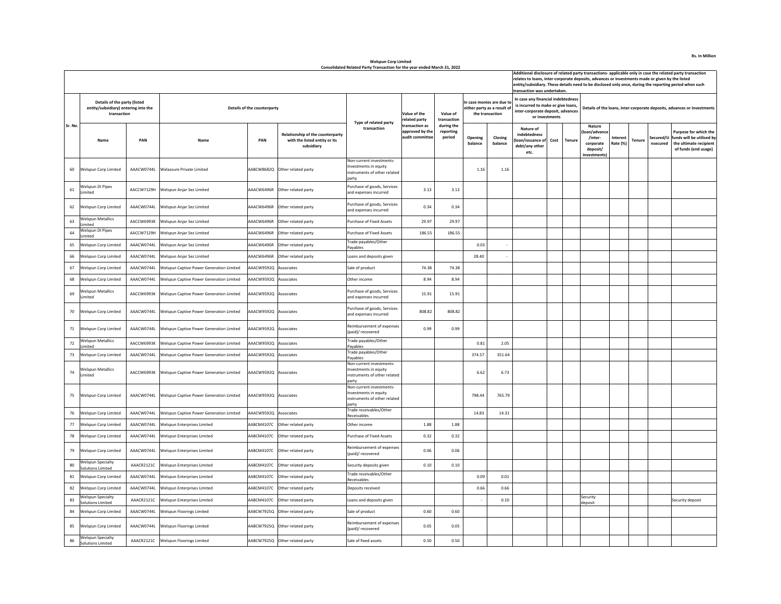| Additional disclosure of related party transactions- applicable only in case the related party transaction<br>relates to loans, inter-corporate deposits, advances or investments made or given by the listed<br>entity/subsidiary. These details need to be disclosed only once, during the reporting period when such<br>transaction was undertaken.<br>In case any financial indebtedness<br>n case monies are due to |                                                                                     |            |                                                     |                             |                                                                                        |                                                                                            |                                                      |                                   |                             |                    |                                                                         |                |               |                                                                            |                                |                       |                                                                                                            |  |
|--------------------------------------------------------------------------------------------------------------------------------------------------------------------------------------------------------------------------------------------------------------------------------------------------------------------------------------------------------------------------------------------------------------------------|-------------------------------------------------------------------------------------|------------|-----------------------------------------------------|-----------------------------|----------------------------------------------------------------------------------------|--------------------------------------------------------------------------------------------|------------------------------------------------------|-----------------------------------|-----------------------------|--------------------|-------------------------------------------------------------------------|----------------|---------------|----------------------------------------------------------------------------|--------------------------------|-----------------------|------------------------------------------------------------------------------------------------------------|--|
|                                                                                                                                                                                                                                                                                                                                                                                                                          | Details of the party (listed<br>entity/subsidiary) entering into the<br>transaction |            |                                                     | Details of the counterparty |                                                                                        | Type of related party                                                                      | Value of the<br>related party                        | Value of<br>transaction           | either party as a result of | the transaction    | is incurred to make or give loans,<br>inter-corporate deposit, advances | or investments |               | Details of the loans, inter-corporate deposits, advances or investments    |                                |                       |                                                                                                            |  |
| Sr. No                                                                                                                                                                                                                                                                                                                                                                                                                   | Name                                                                                | PAN        | Name                                                | PAN                         | <b>Relationship of the counterparty</b><br>with the listed entity or its<br>subsidiary | transaction                                                                                | transaction as<br>approved by the<br>audit committee | during the<br>reporting<br>period | Opening<br>balance          | Closing<br>balance | Nature of<br>indebtedness<br>oan/issuance of<br>debt/any other<br>etc.  | Cost           | <b>Tenure</b> | Nature<br>loan/advance<br>/inter-<br>corporate<br>deposit/<br>investments) | Interest<br>Tenure<br>Rate (%) | Secured/l<br>nsecured | <b>Purpose for which the</b><br>funds will be utilised b<br>the ultimate recipient<br>of funds (end usage) |  |
| 60                                                                                                                                                                                                                                                                                                                                                                                                                       | Welspun Corp Limited                                                                | AAACW0744L | Welassure Private Limited                           |                             | AABCW8682Q Other related party                                                         | Non-current investments-<br>Investments in equity<br>instruments of other related<br>party |                                                      |                                   | 1.16                        | 1.16               |                                                                         |                |               |                                                                            |                                |                       |                                                                                                            |  |
| 61                                                                                                                                                                                                                                                                                                                                                                                                                       | Welspun DI Pipes<br>.imited                                                         | AACCW7129H | Welspun Anjar Sez Limited                           | AAACW6496R                  | Other related party                                                                    | Purchase of goods, Services<br>and expenses incurred                                       | 3.13                                                 | 3.13                              |                             |                    |                                                                         |                |               |                                                                            |                                |                       |                                                                                                            |  |
| 62                                                                                                                                                                                                                                                                                                                                                                                                                       | Welspun Corp Limited                                                                | AAACW0744L | Welspun Anjar Sez Limited                           | AAACW6496R                  | Other related party                                                                    | Purchase of goods, Services<br>and expenses incurred                                       | 0.34                                                 | 0.34                              |                             |                    |                                                                         |                |               |                                                                            |                                |                       |                                                                                                            |  |
| 63                                                                                                                                                                                                                                                                                                                                                                                                                       | <b>Welspun Metallics</b><br>imited                                                  | AACCW6993K | <b>Nelspun Anjar Sez Limited</b>                    | AAACW6496R                  | Other related party                                                                    | Purchase of Fixed Assets                                                                   | 29.97                                                | 29.97                             |                             |                    |                                                                         |                |               |                                                                            |                                |                       |                                                                                                            |  |
| 64                                                                                                                                                                                                                                                                                                                                                                                                                       | Welspun DI Pipes<br>imited                                                          | AACCW7129H | Welspun Aniar Sez Limited                           | AAACW6496R                  | Other related party                                                                    | Purchase of Fixed Assets                                                                   | 186.55                                               | 186.55                            |                             |                    |                                                                         |                |               |                                                                            |                                |                       |                                                                                                            |  |
| 65                                                                                                                                                                                                                                                                                                                                                                                                                       | Welspun Corp Limited                                                                | AAACW0744I | <b>Nelspun Anjar Sez Limited</b>                    | AAACW6496R                  | Other related party                                                                    | Trade payables/Other<br>Pavables                                                           |                                                      |                                   | 0.03                        |                    |                                                                         |                |               |                                                                            |                                |                       |                                                                                                            |  |
| 66                                                                                                                                                                                                                                                                                                                                                                                                                       | Welspun Corp Limited                                                                | AAACW0744L | Welspun Anjar Sez Limited                           | AAACW6496R                  | Other related party                                                                    | Loans and deposits given                                                                   |                                                      |                                   | 28.40                       |                    |                                                                         |                |               |                                                                            |                                |                       |                                                                                                            |  |
| 67                                                                                                                                                                                                                                                                                                                                                                                                                       | Welspun Corp Limited                                                                | AAACW0744L | Welspun Captive Power Generation Limited            | AAACW9592Q                  | Associates                                                                             | Sale of product                                                                            | 74.38                                                | 74.38                             |                             |                    |                                                                         |                |               |                                                                            |                                |                       |                                                                                                            |  |
| 68                                                                                                                                                                                                                                                                                                                                                                                                                       | <b>Welspun Corp Limited</b>                                                         | AAACW0744L | <b>Nelspun Captive Power Generation Limited</b>     | AAACW9592Q                  | Associates                                                                             | Other income                                                                               | 8.94                                                 | 8.94                              |                             |                    |                                                                         |                |               |                                                                            |                                |                       |                                                                                                            |  |
| 69                                                                                                                                                                                                                                                                                                                                                                                                                       | <b>Welspun Metallics</b><br>imited                                                  | AACCW6993K | Welspun Captive Power Generation Limited            | AAACW9592Q                  | Associates                                                                             | Purchase of goods, Services<br>and expenses incurred                                       | 15.91                                                | 15.91                             |                             |                    |                                                                         |                |               |                                                                            |                                |                       |                                                                                                            |  |
| 70                                                                                                                                                                                                                                                                                                                                                                                                                       | Welspun Corp Limited                                                                | AAACW0744L | <b>Nelspun Captive Power Generation Limited</b>     | AAACW9592Q                  | Associates                                                                             | Purchase of goods, Services<br>and expenses incurred                                       | 808.82                                               | 808.82                            |                             |                    |                                                                         |                |               |                                                                            |                                |                       |                                                                                                            |  |
| 71                                                                                                                                                                                                                                                                                                                                                                                                                       | Welspun Corp Limited                                                                | AAACW0744L | <b>Nelspun Captive Power Generation Limited</b>     | AAACW9592Q                  | Associates                                                                             | Reimbursement of expenses<br>(paid)/ recovered                                             | 0.99                                                 | 0.99                              |                             |                    |                                                                         |                |               |                                                                            |                                |                       |                                                                                                            |  |
| $72\,$                                                                                                                                                                                                                                                                                                                                                                                                                   | <b>Welspun Metallics</b><br>mited                                                   | AACCW6993K | Velspun Captive Power Generation Limited            | AAACW9592Q                  | Associates                                                                             | Trade payables/Other<br>Payables                                                           |                                                      |                                   | 0.81                        | 2.05               |                                                                         |                |               |                                                                            |                                |                       |                                                                                                            |  |
| 73                                                                                                                                                                                                                                                                                                                                                                                                                       | Welspun Corp Limited                                                                | AAACW0744L | <b>Welspun Captive Power Generation Limited</b>     | AAACW9592Q                  | Associates                                                                             | Trade payables/Other<br>Payables                                                           |                                                      |                                   | 374.57                      | 351.64             |                                                                         |                |               |                                                                            |                                |                       |                                                                                                            |  |
| 74                                                                                                                                                                                                                                                                                                                                                                                                                       | <b>Welspun Metallics</b><br>imited                                                  | AACCW6993K | <b>Welspun Captive Power Generation Limited</b>     | AAACW9592Q Associates       |                                                                                        | Non-current investments-<br>Investments in equity<br>instruments of other related<br>party |                                                      |                                   | 6.62                        | 6.73               |                                                                         |                |               |                                                                            |                                |                       |                                                                                                            |  |
| 75                                                                                                                                                                                                                                                                                                                                                                                                                       | Welspun Corp Limited                                                                |            | AAACW0744L Welspun Captive Power Generation Limited | AAACW9592Q Associates       |                                                                                        | Non-current investments-<br>Investments in equity<br>instruments of other related<br>party |                                                      |                                   | 798.44                      | 765.79             |                                                                         |                |               |                                                                            |                                |                       |                                                                                                            |  |
| 76                                                                                                                                                                                                                                                                                                                                                                                                                       | Welspun Corp Limited                                                                | AAACW0744L | Velspun Captive Power Generation Limited            | AAACW9592Q                  | Associates                                                                             | Trade receivables/Other<br>Receivables                                                     |                                                      |                                   | 14.83                       | 14.31              |                                                                         |                |               |                                                                            |                                |                       |                                                                                                            |  |
| 77                                                                                                                                                                                                                                                                                                                                                                                                                       | Welspun Corp Limited                                                                | AAACW0744L | <b>Nelspun Enterprises Limited</b>                  | AABCM4107C                  | Other related party                                                                    | Other income                                                                               | 1.88                                                 | 1.88                              |                             |                    |                                                                         |                |               |                                                                            |                                |                       |                                                                                                            |  |
| 78                                                                                                                                                                                                                                                                                                                                                                                                                       | Welspun Corp Limited                                                                | AAACW0744L | <b>Nelspun Enterprises Limited</b>                  | AABCM4107C                  | Other related party                                                                    | Purchase of Fixed Assets                                                                   | 0.32                                                 | 0.32                              |                             |                    |                                                                         |                |               |                                                                            |                                |                       |                                                                                                            |  |
| 79                                                                                                                                                                                                                                                                                                                                                                                                                       | <b>Welspun Corp Limited</b>                                                         | AAACW0744L | <b>Nelspun Enterprises Limited</b>                  | AABCM4107C                  | Other related party                                                                    | Reimbursement of expenses<br>(paid)/ recovered                                             | 0.06                                                 | 0.06                              |                             |                    |                                                                         |                |               |                                                                            |                                |                       |                                                                                                            |  |
| 80                                                                                                                                                                                                                                                                                                                                                                                                                       | <b>Welspun Specialty</b><br>Solutions Limited                                       | AAACR2121C | Welspun Enterprises Limited                         | AABCM4107C                  | Other related party                                                                    | Security deposits given                                                                    | 0.10                                                 | 0.10                              |                             |                    |                                                                         |                |               |                                                                            |                                |                       |                                                                                                            |  |
| 81                                                                                                                                                                                                                                                                                                                                                                                                                       | Welspun Corp Limited                                                                | AAACW0744L | Velspun Enterprises Limited                         | AABCM4107C                  | Other related party                                                                    | Trade receivables/Other<br>Receivables                                                     |                                                      |                                   | 0.09                        | 0.01               |                                                                         |                |               |                                                                            |                                |                       |                                                                                                            |  |
| 82                                                                                                                                                                                                                                                                                                                                                                                                                       | Welspun Corp Limited                                                                | AAACW0744L | Velspun Enterprises Limited                         | AABCM4107C                  | Other related party                                                                    | Deposits received                                                                          |                                                      |                                   | 0.66                        | 0.66               |                                                                         |                |               |                                                                            |                                |                       |                                                                                                            |  |
| 83                                                                                                                                                                                                                                                                                                                                                                                                                       | <b>Welspun Specialty</b><br><b>Solutions Limited</b>                                | AAACR2121C | Velspun Enterprises Limited                         | AABCM4107C                  | Other related party                                                                    | Loans and deposits given                                                                   |                                                      |                                   |                             | 0.10               |                                                                         |                |               | Security<br>leposit                                                        |                                |                       | Security deposit                                                                                           |  |
| 84                                                                                                                                                                                                                                                                                                                                                                                                                       | Welspun Corp Limited                                                                | AAACW0744L | <b>Nelspun Floorings Limited</b>                    | AABCW7925Q                  | Other related party                                                                    | Sale of product                                                                            | 0.60                                                 | 0.60                              |                             |                    |                                                                         |                |               |                                                                            |                                |                       |                                                                                                            |  |
| 85                                                                                                                                                                                                                                                                                                                                                                                                                       | Welspun Corp Limited                                                                | AAACW0744L | Welspun Floorings Limited                           |                             | AABCW7925Q Other related party                                                         | Reimbursement of expenses<br>(paid)/ recovered                                             | 0.05                                                 | 0.05                              |                             |                    |                                                                         |                |               |                                                                            |                                |                       |                                                                                                            |  |
| 86                                                                                                                                                                                                                                                                                                                                                                                                                       | <b>Welspun Specialty</b><br>Solutions Limited                                       | AAACR2121C | <b>Welspun Floorings Limited</b>                    |                             | AABCW7925Q Other related party                                                         | Sale of fixed assets                                                                       | 0.50                                                 | 0.50                              |                             |                    |                                                                         |                |               |                                                                            |                                |                       |                                                                                                            |  |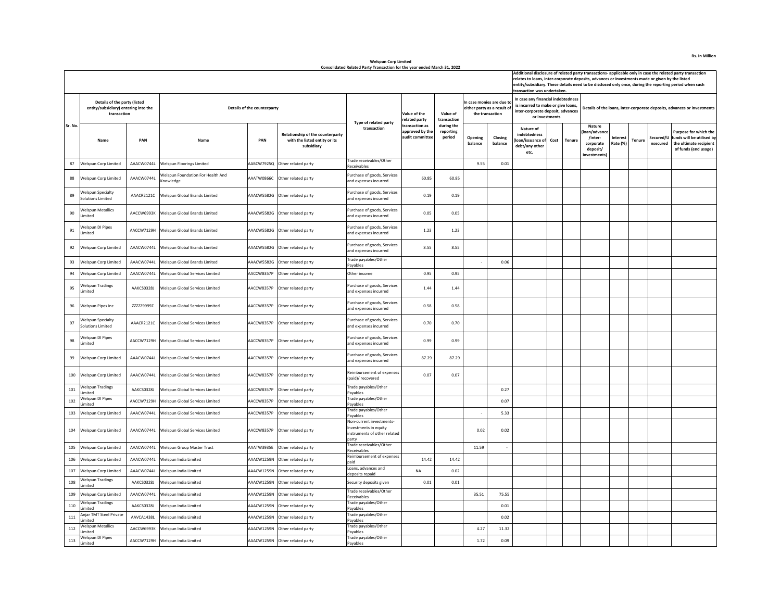|         |                                                                                     |            |                                                       |                             |                                                                                        |                                                                                            |                                                      |                                   |                    |                                                                             | transaction was undertaken.                                                                                                     |      |        | Additional disclosure of related party transactions- applicable only in case the related party transaction<br>relates to loans, inter-corporate deposits, advances or investments made or given by the listed<br>entity/subsidiary. These details need to be disclosed only once, during the reporting period when such |        |                       |                                                                                                      |  |
|---------|-------------------------------------------------------------------------------------|------------|-------------------------------------------------------|-----------------------------|----------------------------------------------------------------------------------------|--------------------------------------------------------------------------------------------|------------------------------------------------------|-----------------------------------|--------------------|-----------------------------------------------------------------------------|---------------------------------------------------------------------------------------------------------------------------------|------|--------|-------------------------------------------------------------------------------------------------------------------------------------------------------------------------------------------------------------------------------------------------------------------------------------------------------------------------|--------|-----------------------|------------------------------------------------------------------------------------------------------|--|
|         | Details of the party (listed<br>entity/subsidiary) entering into the<br>transaction |            |                                                       | Details of the counterparty |                                                                                        | Type of related party                                                                      | Value of the<br>elated party                         | Value of<br>transaction           |                    | In case monies are due to<br>either party as a result of<br>the transaction | In case any financial indebtedness<br>is incurred to make or give loans,<br>inter-corporate deposit, advances<br>or investments |      |        | Details of the loans, inter-corporate deposits, advances or investments                                                                                                                                                                                                                                                 |        |                       |                                                                                                      |  |
| Sr. No. | Name                                                                                | PAN        | Name                                                  | PAN                         | <b>Relationship of the counterparty</b><br>with the listed entity or its<br>subsidiary | transaction                                                                                | transaction as<br>approved by the<br>audit committee | during the<br>reporting<br>period | Opening<br>balance | Closing<br>balance                                                          | Nature of<br>indebtedness<br>loan/issuance of<br>debt/any other<br>etc.                                                         | Cost | Tenure | Nature<br>oan/advance<br>/inter-<br><b>Interest</b><br>Rate (%)<br>corporate<br>deposit/<br>investments)                                                                                                                                                                                                                | Tenure | Secured/U<br>nsecured | Purpose for which the<br>funds will be utilised by<br>the ultimate recipient<br>of funds (end usage) |  |
| 87      | Welspun Corp Limited                                                                | AAACW0744L | <b>Welspun Floorings Limited</b>                      | AABCW7925Q                  | Other related party                                                                    | <b>Trade receivables/Other</b><br>Receivables                                              |                                                      |                                   | 9.55               | 0.01                                                                        |                                                                                                                                 |      |        |                                                                                                                                                                                                                                                                                                                         |        |                       |                                                                                                      |  |
| 88      | <b>Welsoun Corp Limited</b>                                                         | AAACW0744L | <b>Nelspun Foundation For Health And</b><br>(nowledge | AAATW0866C                  | Other related party                                                                    | Purchase of goods, Services<br>and expenses incurred                                       | 60.85                                                | 60.85                             |                    |                                                                             |                                                                                                                                 |      |        |                                                                                                                                                                                                                                                                                                                         |        |                       |                                                                                                      |  |
| 89      | <b>Welspun Specialty</b><br><b>Solutions Limited</b>                                | AAACR2121C | Welspun Global Brands Limited                         |                             | AAACW5582G Other related party                                                         | Purchase of goods, Services<br>and expenses incurred                                       | 0.19                                                 | 0.19                              |                    |                                                                             |                                                                                                                                 |      |        |                                                                                                                                                                                                                                                                                                                         |        |                       |                                                                                                      |  |
| 90      | <b>Welspun Metallics</b><br>imited                                                  |            | AACCW6993K Welspun Global Brands Limited              |                             | AAACW5582G Other related party                                                         | Purchase of goods, Services<br>and expenses incurred                                       | 0.05                                                 | 0.05                              |                    |                                                                             |                                                                                                                                 |      |        |                                                                                                                                                                                                                                                                                                                         |        |                       |                                                                                                      |  |
| 91      | Welspun DI Pipes<br>Limited                                                         |            | AACCW7129H Welspun Global Brands Limited              |                             | AAACW5582G Other related party                                                         | Purchase of goods, Services<br>and expenses incurred                                       | 1.23                                                 | 1.23                              |                    |                                                                             |                                                                                                                                 |      |        |                                                                                                                                                                                                                                                                                                                         |        |                       |                                                                                                      |  |
| 92      | <b>Welspun Corp Limited</b>                                                         | AAACW0744L | Welspun Global Brands Limited                         |                             | AAACW5582G Other related party                                                         | Purchase of goods, Services<br>and expenses incurred                                       | 8.55                                                 | 8.55                              |                    |                                                                             |                                                                                                                                 |      |        |                                                                                                                                                                                                                                                                                                                         |        |                       |                                                                                                      |  |
| 93      | <b>Welspun Corp Limited</b>                                                         | AAACW0744L | Welspun Global Brands Limited                         |                             | AAACW5582G Other related party                                                         | Frade payables/Other<br>Payables                                                           |                                                      |                                   |                    | 0.06                                                                        |                                                                                                                                 |      |        |                                                                                                                                                                                                                                                                                                                         |        |                       |                                                                                                      |  |
| 94      | Welspun Corp Limited                                                                | AAACW0744L | Welspun Global Services Limited                       | AACCW8357P                  | Other related party                                                                    | Other income                                                                               | 0.95                                                 | 0.95                              |                    |                                                                             |                                                                                                                                 |      |        |                                                                                                                                                                                                                                                                                                                         |        |                       |                                                                                                      |  |
| 95      | <b>Welspun Tradings</b><br>Limited                                                  | AAKCS0328J | Welspun Global Services Limited                       | AACCW8357P                  | Other related party                                                                    | Purchase of goods, Services<br>and expenses incurred                                       | 1.44                                                 | 1.44                              |                    |                                                                             |                                                                                                                                 |      |        |                                                                                                                                                                                                                                                                                                                         |        |                       |                                                                                                      |  |
| 96      | Welspun Pipes Inc                                                                   | ZZZZZ9999Z | Welspun Global Services Limited                       | AACCW8357P                  | Other related party                                                                    | Purchase of goods, Services<br>and expenses incurred                                       | 0.58                                                 | 0.58                              |                    |                                                                             |                                                                                                                                 |      |        |                                                                                                                                                                                                                                                                                                                         |        |                       |                                                                                                      |  |
| 97      | <b>Welspun Specialty</b><br><b>Solutions Limited</b>                                | AAACR2121C | Welspun Global Services Limited                       | AACCW8357P                  | Other related party                                                                    | Purchase of goods, Services<br>and expenses incurred                                       | 0.70                                                 | 0.70                              |                    |                                                                             |                                                                                                                                 |      |        |                                                                                                                                                                                                                                                                                                                         |        |                       |                                                                                                      |  |
| 98      | <b>Welsoun DI Pipes</b><br>mited                                                    | AACCW7129H | Welspun Global Services Limited                       | AACCW8357P                  | Other related party                                                                    | Purchase of goods, Services<br>and expenses incurred                                       | 0.99                                                 | 0.99                              |                    |                                                                             |                                                                                                                                 |      |        |                                                                                                                                                                                                                                                                                                                         |        |                       |                                                                                                      |  |
| 99      | Welspun Corp Limited                                                                | AAACW0744L | Welspun Global Services Limited                       | AACCW8357P                  | Other related party                                                                    | Purchase of goods, Services<br>and expenses incurred                                       | 87.29                                                | 87.29                             |                    |                                                                             |                                                                                                                                 |      |        |                                                                                                                                                                                                                                                                                                                         |        |                       |                                                                                                      |  |
| 100     | Welspun Corp Limited                                                                | AAACW0744L | Welspun Global Services Limited                       | AACCW8357P                  | Other related party                                                                    | Reimbursement of expenses<br>(paid)/ recovered                                             | 0.07                                                 | 0.07                              |                    |                                                                             |                                                                                                                                 |      |        |                                                                                                                                                                                                                                                                                                                         |        |                       |                                                                                                      |  |
| 101     | <b>Welspun Tradings</b><br>Limited                                                  | AAKCS0328J | Welspun Global Services Limited                       | AACCW8357P                  | Other related party                                                                    | Trade payables/Other<br>Payables                                                           |                                                      |                                   |                    | 0.27                                                                        |                                                                                                                                 |      |        |                                                                                                                                                                                                                                                                                                                         |        |                       |                                                                                                      |  |
| 102     | Welspun DI Pipes<br>Limited                                                         | AACCW7129H | Welspun Global Services Limited                       | AACCW8357P                  | Other related party                                                                    | Trade payables/Other<br>Pavables                                                           |                                                      |                                   |                    | 0.07                                                                        |                                                                                                                                 |      |        |                                                                                                                                                                                                                                                                                                                         |        |                       |                                                                                                      |  |
|         | 103 Welspun Corp Limited                                                            | AAACW0744L | Welspun Global Services Limited                       | AACCW8357P                  | Other related party                                                                    | Frade payables/Other<br>Payables                                                           |                                                      |                                   |                    | 5.33                                                                        |                                                                                                                                 |      |        |                                                                                                                                                                                                                                                                                                                         |        |                       |                                                                                                      |  |
|         | 104 Welspun Corp Limited                                                            | AAACW0744L | Welspun Global Services Limited                       | AACCW8357P                  | Other related party                                                                    | Non-current investments-<br>Investments in equity<br>instruments of other related<br>party |                                                      |                                   | 0.02               | 0.02                                                                        |                                                                                                                                 |      |        |                                                                                                                                                                                                                                                                                                                         |        |                       |                                                                                                      |  |
| 105     | Welspun Corp Limited                                                                | AAACW0744L | Welspun Group Master Trust                            | AAATW3935E                  | Other related party                                                                    | Trade receivables/Other<br>Receivables                                                     |                                                      |                                   | 11.59              |                                                                             |                                                                                                                                 |      |        |                                                                                                                                                                                                                                                                                                                         |        |                       |                                                                                                      |  |
| 106     | Welspun Corp Limited                                                                | AAACW0744L | Welspun India Limited                                 | AAACW1259N                  | Other related party                                                                    | Reimbursement of expenses<br>paid                                                          | 14.42                                                | 14.42                             |                    |                                                                             |                                                                                                                                 |      |        |                                                                                                                                                                                                                                                                                                                         |        |                       |                                                                                                      |  |
| 107     | Welspun Corp Limited                                                                | AAACW0744L | Welspun India Limited                                 |                             | AAACW1259N Other related party                                                         | Loans, advances and<br>deposits repaid                                                     | <b>NA</b>                                            | 0.02                              |                    |                                                                             |                                                                                                                                 |      |        |                                                                                                                                                                                                                                                                                                                         |        |                       |                                                                                                      |  |
| 108     | <b>Welspun Tradings</b><br>imited                                                   | AAKCS0328J | Welspun India Limited                                 | AAACW1259N                  | Other related party                                                                    | Security deposits given                                                                    | 0.01                                                 | 0.01                              |                    |                                                                             |                                                                                                                                 |      |        |                                                                                                                                                                                                                                                                                                                         |        |                       |                                                                                                      |  |
| 109     | Welspun Corp Limited                                                                | AAACW0744L | Welspun India Limited                                 | AAACW1259N                  | Other related party                                                                    | Trade receivables/Other<br>Receivables                                                     |                                                      |                                   | 35.51              | 75.55                                                                       |                                                                                                                                 |      |        |                                                                                                                                                                                                                                                                                                                         |        |                       |                                                                                                      |  |
| 110     | <b>Welspun Tradings</b><br>imited                                                   | AAKCS0328J | Welspun India Limited                                 | AAACW1259N                  | Other related party                                                                    | <b>Trade payables/Other</b><br>Pavables                                                    |                                                      |                                   |                    | 0.01                                                                        |                                                                                                                                 |      |        |                                                                                                                                                                                                                                                                                                                         |        |                       |                                                                                                      |  |
| 111     | Anjar TMT Steel Private<br>Limited                                                  | AAVCA1438L | Welspun India Limited                                 | AAACW1259N                  | Other related party                                                                    | rade payables/Other<br>Payables                                                            |                                                      |                                   |                    | 0.02                                                                        |                                                                                                                                 |      |        |                                                                                                                                                                                                                                                                                                                         |        |                       |                                                                                                      |  |
| 112     | <b>Welspun Metallics</b><br>Limited                                                 | AACCW6993K | Welspun India Limited                                 |                             | AAACW1259N Other related party                                                         | Trade payables/Other<br>Payables                                                           |                                                      |                                   | 4.27               | 11.32                                                                       |                                                                                                                                 |      |        |                                                                                                                                                                                                                                                                                                                         |        |                       |                                                                                                      |  |
| $113\,$ | Welspun DI Pipes<br>I imited                                                        | AACCW7129H | Welspun India Limited                                 |                             | AAACW1259N Other related party                                                         | <b>Trade payables/Other</b><br>Pavables                                                    |                                                      |                                   | 1.72               | 0.09                                                                        |                                                                                                                                 |      |        |                                                                                                                                                                                                                                                                                                                         |        |                       |                                                                                                      |  |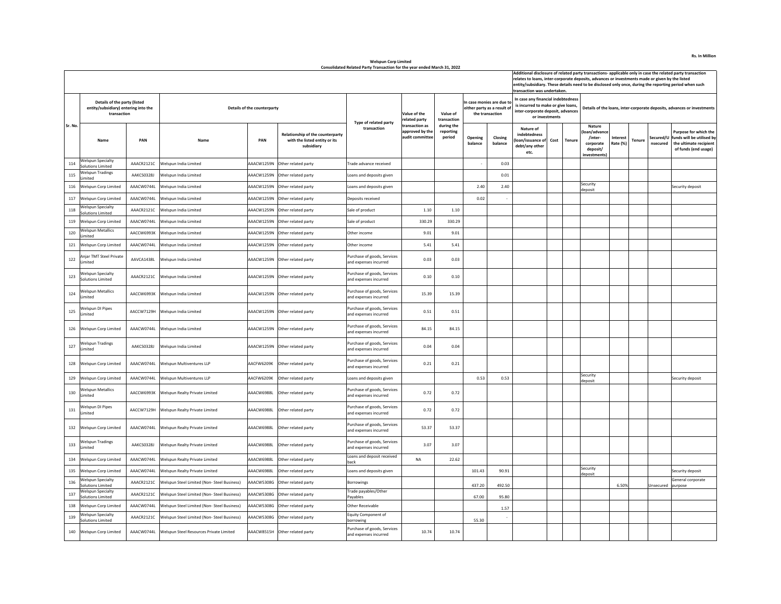|         |                                                                                     |            |                                                    |                             |                                                                                 |                                                      |                                                      |                                   |                    |                                                                            |                                                                                                                                 |      | Additional disclosure of related party transactions- applicable only in case the related party transaction<br>relates to loans, inter-corporate deposits, advances or investments made or given by the listed<br>entity/subsidiary. These details need to be disclosed only once, during the reporting period when such<br>transaction was undertaken. |                                                                                                                 |               |                       |                                                                                                      |  |  |  |  |
|---------|-------------------------------------------------------------------------------------|------------|----------------------------------------------------|-----------------------------|---------------------------------------------------------------------------------|------------------------------------------------------|------------------------------------------------------|-----------------------------------|--------------------|----------------------------------------------------------------------------|---------------------------------------------------------------------------------------------------------------------------------|------|--------------------------------------------------------------------------------------------------------------------------------------------------------------------------------------------------------------------------------------------------------------------------------------------------------------------------------------------------------|-----------------------------------------------------------------------------------------------------------------|---------------|-----------------------|------------------------------------------------------------------------------------------------------|--|--|--|--|
|         | Details of the party (listed<br>entity/subsidiary) entering into the<br>transaction |            |                                                    | Details of the counterparty |                                                                                 | Type of related party                                | Value of the<br>elated party                         | Value of<br>transaction           |                    | n case monies are due to<br>either party as a result of<br>the transaction | In case any financial indebtedness<br>is incurred to make or give loans,<br>inter-corporate deposit, advances<br>or investments |      |                                                                                                                                                                                                                                                                                                                                                        | Details of the loans, inter-corporate deposits, advances or investments                                         |               |                       |                                                                                                      |  |  |  |  |
| Sr. No. | Name                                                                                | PAN        | Name                                               | PAN                         | Relationship of the counterparty<br>with the listed entity or its<br>subsidiary | transaction                                          | transaction as<br>approved by the<br>audit committee | during the<br>reporting<br>period | Opening<br>balance | Closing<br>balance                                                         | Nature of<br>indebtedness<br>oan/issuance o<br>debt/any other<br>etc.                                                           | Cost | Tenure                                                                                                                                                                                                                                                                                                                                                 | <b>Nature</b><br>oan/advance<br>/inter-<br><b>Interest</b><br>corporate<br>Rate (%)<br>deposit/<br>investments! | <b>Tenure</b> | Secured/U<br>nsecured | Purpose for which the<br>funds will be utilised by<br>the ultimate recipient<br>of funds (end usage) |  |  |  |  |
| 114     | <b>Welspun Specialty</b><br><b>Solutions Limited</b>                                | AAACR2121C | Welspun India Limited                              | AAACW1259N                  | Other related party                                                             | rade advance received                                |                                                      |                                   |                    | 0.03                                                                       |                                                                                                                                 |      |                                                                                                                                                                                                                                                                                                                                                        |                                                                                                                 |               |                       |                                                                                                      |  |  |  |  |
| 115     | <b>Welspun Tradings</b><br>imited                                                   | AAKCS0328J | Welspun India Limited                              | AAACW1259N                  | Other related party                                                             | Loans and deposits given                             |                                                      |                                   |                    | 0.01                                                                       |                                                                                                                                 |      |                                                                                                                                                                                                                                                                                                                                                        |                                                                                                                 |               |                       |                                                                                                      |  |  |  |  |
| 116     | Welspun Corp Limited                                                                | AAACW0744L | Welspun India Limited                              | AAACW1259N                  | Other related party                                                             | Loans and deposits given                             |                                                      |                                   | 2.40               | 2.40                                                                       |                                                                                                                                 |      |                                                                                                                                                                                                                                                                                                                                                        | Security<br>deposit                                                                                             |               |                       | Security deposit                                                                                     |  |  |  |  |
| 117     | Welspun Corp Limited                                                                | AAACW0744L | Welspun India Limited                              | AAACW1259N                  | Other related party                                                             | Deposits received                                    |                                                      |                                   | 0.02               |                                                                            |                                                                                                                                 |      |                                                                                                                                                                                                                                                                                                                                                        |                                                                                                                 |               |                       |                                                                                                      |  |  |  |  |
| 118     | <b>Welspun Specialty</b><br><b>Solutions Limited</b>                                | AAACR2121C | Welspun India Limited                              | AAACW1259N                  | Other related party                                                             | Sale of product                                      | 1.10                                                 | 1.10                              |                    |                                                                            |                                                                                                                                 |      |                                                                                                                                                                                                                                                                                                                                                        |                                                                                                                 |               |                       |                                                                                                      |  |  |  |  |
| 119     | Welspun Corp Limited                                                                | AAACW0744L | Welspun India Limited                              |                             | AAACW1259N Other related party                                                  | Sale of product                                      | 330.29                                               | 330.29                            |                    |                                                                            |                                                                                                                                 |      |                                                                                                                                                                                                                                                                                                                                                        |                                                                                                                 |               |                       |                                                                                                      |  |  |  |  |
| 120     | <b>Welspun Metallics</b><br>imited                                                  | AACCW6993K | Welspun India Limited                              | AAACW1259N                  | Other related party                                                             | Other income                                         | 9.01                                                 | 9.01                              |                    |                                                                            |                                                                                                                                 |      |                                                                                                                                                                                                                                                                                                                                                        |                                                                                                                 |               |                       |                                                                                                      |  |  |  |  |
| 121     | Welspun Corp Limited                                                                | AAACW0744L | Welspun India Limited                              | AAACW1259N                  | Other related party                                                             | Other income                                         | 5.41                                                 | 5.41                              |                    |                                                                            |                                                                                                                                 |      |                                                                                                                                                                                                                                                                                                                                                        |                                                                                                                 |               |                       |                                                                                                      |  |  |  |  |
| 122     | Injar TMT Steel Private<br>imited                                                   | AAVCA1438L | Welspun India Limited                              |                             | AAACW1259N Other related party                                                  | Purchase of goods, Services<br>and expenses incurred | 0.03                                                 | 0.03                              |                    |                                                                            |                                                                                                                                 |      |                                                                                                                                                                                                                                                                                                                                                        |                                                                                                                 |               |                       |                                                                                                      |  |  |  |  |
| 123     | Welspun Specialty<br>Solutions Limited                                              | AAACR2121C | Welspun India Limited                              | AAACW1259N                  | Other related party                                                             | Purchase of goods, Services<br>and expenses incurred | 0.10                                                 | 0.10                              |                    |                                                                            |                                                                                                                                 |      |                                                                                                                                                                                                                                                                                                                                                        |                                                                                                                 |               |                       |                                                                                                      |  |  |  |  |
| 124     | <b>Welspun Metallics</b><br>Limited                                                 | AACCW6993K | Welspun India Limited                              |                             | AAACW1259N Other related party                                                  | Purchase of goods, Services<br>and expenses incurred | 15.39                                                | 15.39                             |                    |                                                                            |                                                                                                                                 |      |                                                                                                                                                                                                                                                                                                                                                        |                                                                                                                 |               |                       |                                                                                                      |  |  |  |  |
| 125     | <b>Welsoun DI Pipes</b><br>Limited                                                  | AACCW7129H | Welspun India Limited                              |                             | AAACW1259N Other related party                                                  | Purchase of goods, Services<br>and expenses incurred | 0.51                                                 | 0.51                              |                    |                                                                            |                                                                                                                                 |      |                                                                                                                                                                                                                                                                                                                                                        |                                                                                                                 |               |                       |                                                                                                      |  |  |  |  |
| 126     | Welspun Corp Limited                                                                |            | AAACW0744L Welspun India Limited                   |                             | AAACW1259N Other related party                                                  | Purchase of goods, Services<br>and expenses incurred | 84.15                                                | 84.15                             |                    |                                                                            |                                                                                                                                 |      |                                                                                                                                                                                                                                                                                                                                                        |                                                                                                                 |               |                       |                                                                                                      |  |  |  |  |
| 127     | <b>Welspun Tradings</b><br>imited                                                   | AAKCS0328J | Welspun India Limited                              |                             | AAACW1259N Other related party                                                  | Purchase of goods, Services<br>and expenses incurred | 0.04                                                 | 0.04                              |                    |                                                                            |                                                                                                                                 |      |                                                                                                                                                                                                                                                                                                                                                        |                                                                                                                 |               |                       |                                                                                                      |  |  |  |  |
| 128     | Welspun Corp Limited                                                                | AAACW0744L | Welspun Multiventures LLP                          | AACFW6209K                  | Other related party                                                             | Purchase of goods, Services<br>and expenses incurred | 0.21                                                 | 0.21                              |                    |                                                                            |                                                                                                                                 |      |                                                                                                                                                                                                                                                                                                                                                        |                                                                                                                 |               |                       |                                                                                                      |  |  |  |  |
| 129     | <b>Welspun Corp Limited</b>                                                         | AAACW0744L | Welspun Multiventures LLP                          | AACFW6209K                  | Other related party                                                             | Loans and deposits given                             |                                                      |                                   | 0.53               | 0.53                                                                       |                                                                                                                                 |      |                                                                                                                                                                                                                                                                                                                                                        | Security<br>deposit                                                                                             |               |                       | Security deposit                                                                                     |  |  |  |  |
| 130     | <b>Welspun Metallics</b><br>mited                                                   | AACCW6993K | Welspun Realty Private Limited                     | AAACW6988L                  | Other related party                                                             | Purchase of goods, Services<br>and expenses incurred | 0.72                                                 | 0.72                              |                    |                                                                            |                                                                                                                                 |      |                                                                                                                                                                                                                                                                                                                                                        |                                                                                                                 |               |                       |                                                                                                      |  |  |  |  |
| 131     | <b>Welspun DI Pipes</b><br>Limited                                                  | AACCW7129H | Welspun Realty Private Limited                     | AAACW6988L                  | Other related party                                                             | Purchase of goods, Services<br>and expenses incurred | 0.72                                                 | 0.72                              |                    |                                                                            |                                                                                                                                 |      |                                                                                                                                                                                                                                                                                                                                                        |                                                                                                                 |               |                       |                                                                                                      |  |  |  |  |
|         | 132 Welspun Corp Limited                                                            |            | AAACW0744L Welspun Realty Private Limited          | AAACW6988L                  | Other related party                                                             | Purchase of goods, Services<br>and expenses incurred | 53.37                                                | 53.37                             |                    |                                                                            |                                                                                                                                 |      |                                                                                                                                                                                                                                                                                                                                                        |                                                                                                                 |               |                       |                                                                                                      |  |  |  |  |
| 133     | <b>Welspun Tradings</b><br>I imited                                                 | AAKCS0328J | Welspun Realty Private Limited                     | AAACW6988L                  | Other related party                                                             | Purchase of goods, Services<br>and expenses incurred | 3.07                                                 | 3.07                              |                    |                                                                            |                                                                                                                                 |      |                                                                                                                                                                                                                                                                                                                                                        |                                                                                                                 |               |                       |                                                                                                      |  |  |  |  |
| 134     | Welspun Corp Limited                                                                | AAACW0744L | Welspun Realty Private Limited                     | AAACW6988L                  | Other related party                                                             | Loans and deposit received<br>back                   | NA                                                   | 22.62                             |                    |                                                                            |                                                                                                                                 |      |                                                                                                                                                                                                                                                                                                                                                        |                                                                                                                 |               |                       |                                                                                                      |  |  |  |  |
|         | 135 Welsoun Corp Limited                                                            | AAACW0744L | Welspun Realty Private Limited                     | AAACW6988L                  | Other related party                                                             | Loans and deposits given                             |                                                      |                                   | 101.43             | 90.91                                                                      |                                                                                                                                 |      |                                                                                                                                                                                                                                                                                                                                                        | Security<br>deposit                                                                                             |               |                       | Security deposit                                                                                     |  |  |  |  |
| 136     | Welspun Specialty<br><b>Solutions Limited</b>                                       | AAACR2121C | Welspun Steel Limited (Non- Steel Business)        | AAACW5308G                  | Other related party                                                             | Borrowings                                           |                                                      |                                   | 437.20             | 492.50                                                                     |                                                                                                                                 |      |                                                                                                                                                                                                                                                                                                                                                        | 6.50%                                                                                                           |               | Unsecured             | General corporate<br>purpose                                                                         |  |  |  |  |
| 137     | <b>Welspun Specialty</b><br><b>Solutions Limited</b>                                | AAACR2121C | Welspun Steel Limited (Non-Steel Business)         | AACW5308G                   | Other related party                                                             | Trade payables/Other<br>Payables                     |                                                      |                                   | 67.00              | 95.80                                                                      |                                                                                                                                 |      |                                                                                                                                                                                                                                                                                                                                                        |                                                                                                                 |               |                       |                                                                                                      |  |  |  |  |
| 138     | Welspun Corp Limited                                                                | AAACW0744L | Velspun Steel Limited (Non- Steel Business)        | AACW5308G                   | Other related party                                                             | Other Receivable                                     |                                                      |                                   |                    | 1.57                                                                       |                                                                                                                                 |      |                                                                                                                                                                                                                                                                                                                                                        |                                                                                                                 |               |                       |                                                                                                      |  |  |  |  |
| 139     | <b>Welspun Specialty</b><br><b>Solutions Limited</b>                                | AAACR2121C | Welspun Steel Limited (Non-Steel Business)         | AAACW5308G                  | Other related party                                                             | Equity Component of<br>borrowing                     |                                                      |                                   | 55.30              | $\overline{\phantom{a}}$                                                   |                                                                                                                                 |      |                                                                                                                                                                                                                                                                                                                                                        |                                                                                                                 |               |                       |                                                                                                      |  |  |  |  |
|         | 140 Welspun Corp Limited                                                            |            | AAACW0744L Welspun Steel Resources Private Limited |                             | AAACW8515H Other related party                                                  | Purchase of goods, Services<br>and expenses incurred | 10.74                                                | 10.74                             |                    |                                                                            |                                                                                                                                 |      |                                                                                                                                                                                                                                                                                                                                                        |                                                                                                                 |               |                       |                                                                                                      |  |  |  |  |